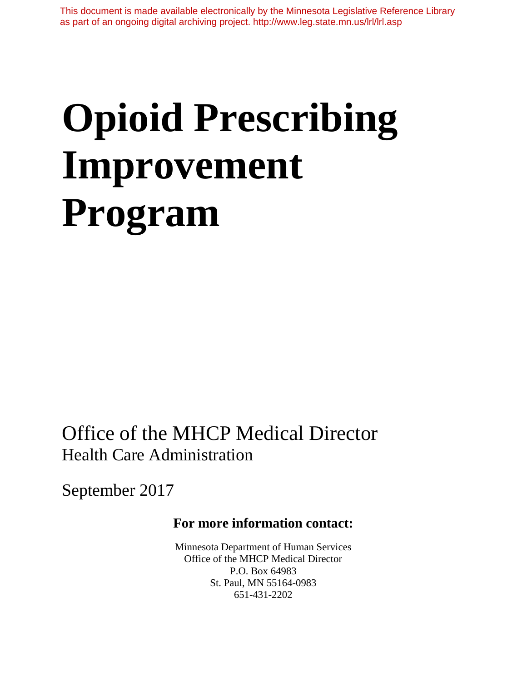# **Opioid Prescribing Improvement Program**

Office of the MHCP Medical Director Health Care Administration

September 2017

# **For more information contact:**

Minnesota Department of Human Services Office of the MHCP Medical Director P.O. Box 64983 St. Paul, MN 55164-0983 651-431-2202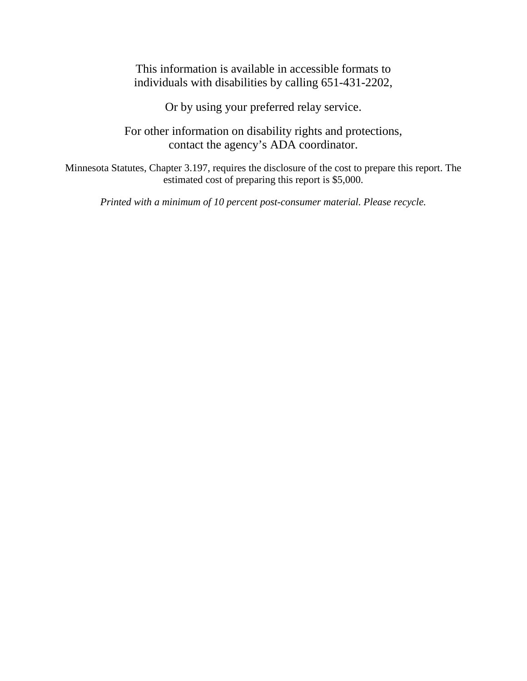This information is available in accessible formats to individuals with disabilities by calling 651-431-2202,

Or by using your preferred relay service.

For other information on disability rights and protections, contact the agency's ADA coordinator.

Minnesota Statutes, Chapter 3.197, requires the disclosure of the cost to prepare this report. The estimated cost of preparing this report is \$5,000.

*Printed with a minimum of 10 percent post-consumer material. Please recycle.*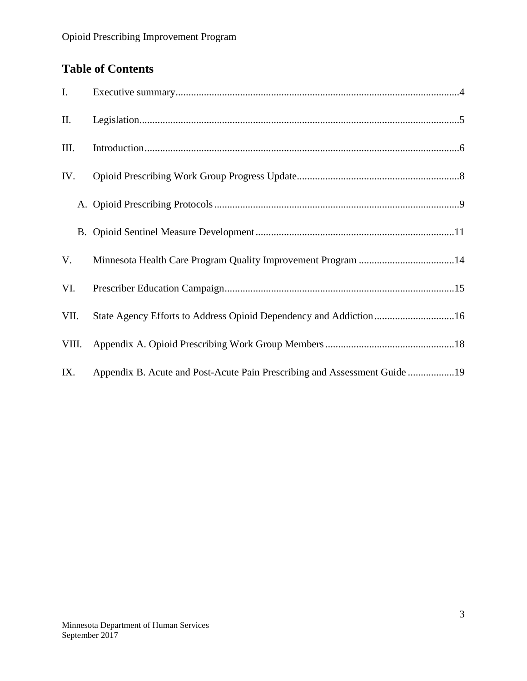# **Table of Contents**

| Ι.    |                                                                           |
|-------|---------------------------------------------------------------------------|
| Π.    |                                                                           |
| III.  |                                                                           |
| IV.   |                                                                           |
|       |                                                                           |
|       |                                                                           |
| V.    |                                                                           |
| VI.   |                                                                           |
| VII.  | State Agency Efforts to Address Opioid Dependency and Addiction16         |
| VIII. |                                                                           |
| IX.   | Appendix B. Acute and Post-Acute Pain Prescribing and Assessment Guide 19 |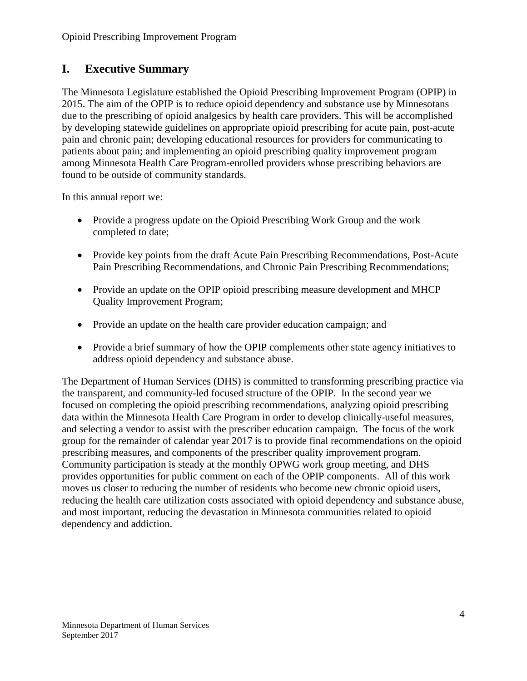## <span id="page-3-0"></span>**I. Executive Summary**

The Minnesota Legislature established the Opioid Prescribing Improvement Program (OPIP) in 2015. The aim of the OPIP is to reduce opioid dependency and substance use by Minnesotans due to the prescribing of opioid analgesics by health care providers. This will be accomplished by developing statewide guidelines on appropriate opioid prescribing for acute pain, post-acute pain and chronic pain; developing educational resources for providers for communicating to patients about pain; and implementing an opioid prescribing quality improvement program among Minnesota Health Care Program-enrolled providers whose prescribing behaviors are found to be outside of community standards.

In this annual report we:

- Provide a progress update on the Opioid Prescribing Work Group and the work completed to date;
- Provide key points from the draft Acute Pain Prescribing Recommendations, Post-Acute Pain Prescribing Recommendations, and Chronic Pain Prescribing Recommendations;
- Provide an update on the OPIP opioid prescribing measure development and MHCP Quality Improvement Program;
- Provide an update on the health care provider education campaign; and
- Provide a brief summary of how the OPIP complements other state agency initiatives to address opioid dependency and substance abuse.

The Department of Human Services (DHS) is committed to transforming prescribing practice via the transparent, and community-led focused structure of the OPIP. In the second year we focused on completing the opioid prescribing recommendations, analyzing opioid prescribing data within the Minnesota Health Care Program in order to develop clinically-useful measures, and selecting a vendor to assist with the prescriber education campaign. The focus of the work group for the remainder of calendar year 2017 is to provide final recommendations on the opioid prescribing measures, and components of the prescriber quality improvement program. Community participation is steady at the monthly OPWG work group meeting, and DHS provides opportunities for public comment on each of the OPIP components. All of this work moves us closer to reducing the number of residents who become new chronic opioid users, reducing the health care utilization costs associated with opioid dependency and substance abuse, and most important, reducing the devastation in Minnesota communities related to opioid dependency and addiction.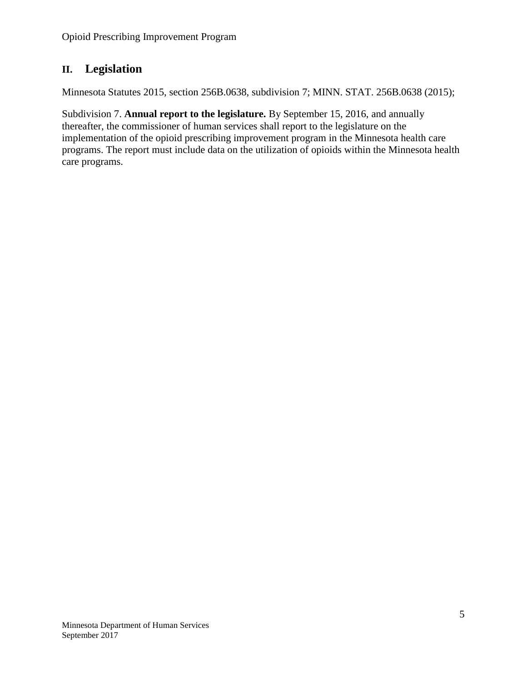## <span id="page-4-0"></span>**II. Legislation**

Minnesota Statutes 2015, section 256B.0638, subdivision 7; MINN. STAT. 256B.0638 (2015);

Subdivision 7. **Annual report to the legislature.** By September 15, 2016, and annually thereafter, the commissioner of human services shall report to the legislature on the implementation of the opioid prescribing improvement program in the Minnesota health care programs. The report must include data on the utilization of opioids within the Minnesota health care programs.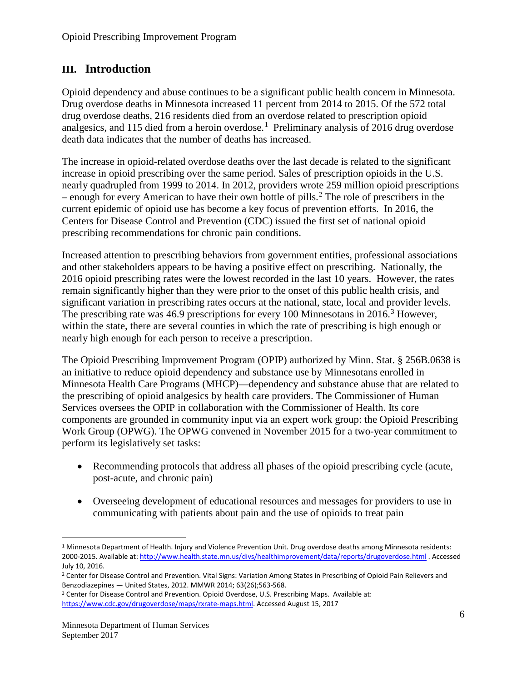## <span id="page-5-0"></span>**III. Introduction**

Opioid dependency and abuse continues to be a significant public health concern in Minnesota. Drug overdose deaths in Minnesota increased 11 percent from 2014 to 2015. Of the 572 total drug overdose deaths, 216 residents died from an overdose related to prescription opioid analgesics, and [1](#page-5-1)15 died from a heroin overdose.<sup>1</sup> Preliminary analysis of 2016 drug overdose death data indicates that the number of deaths has increased.

The increase in opioid-related overdose deaths over the last decade is related to the significant increase in opioid prescribing over the same period. Sales of prescription opioids in the U.S. nearly quadrupled from 1999 to 2014. In 2012, providers wrote 259 million opioid prescriptions – enough for every American to have their own bottle of pills.<sup>[2](#page-5-2)</sup> The role of prescribers in the current epidemic of opioid use has become a key focus of prevention efforts. In 2016, the Centers for Disease Control and Prevention (CDC) issued the first set of national opioid prescribing recommendations for chronic pain conditions.

Increased attention to prescribing behaviors from government entities, professional associations and other stakeholders appears to be having a positive effect on prescribing. Nationally, the 2016 opioid prescribing rates were the lowest recorded in the last 10 years. However, the rates remain significantly higher than they were prior to the onset of this public health crisis, and significant variation in prescribing rates occurs at the national, state, local and provider levels. The prescribing rate was 46.9 prescriptions for every 100 Minnesotans in 2016.<sup>[3](#page-5-3)</sup> However, within the state, there are several counties in which the rate of prescribing is high enough or nearly high enough for each person to receive a prescription.

The Opioid Prescribing Improvement Program (OPIP) authorized by Minn. Stat. § 256B.0638 is an initiative to reduce opioid dependency and substance use by Minnesotans enrolled in Minnesota Health Care Programs (MHCP)—dependency and substance abuse that are related to the prescribing of opioid analgesics by health care providers. The Commissioner of Human Services oversees the OPIP in collaboration with the Commissioner of Health. Its core components are grounded in community input via an expert work group: the Opioid Prescribing Work Group (OPWG). The OPWG convened in November 2015 for a two-year commitment to perform its legislatively set tasks:

- Recommending protocols that address all phases of the opioid prescribing cycle (acute, post-acute, and chronic pain)
- Overseeing development of educational resources and messages for providers to use in communicating with patients about pain and the use of opioids to treat pain

<span id="page-5-1"></span> <sup>1</sup> Minnesota Department of Health. Injury and Violence Prevention Unit. Drug overdose deaths among Minnesota residents: 2000-2015. Available at[: http://www.health.state.mn.us/divs/healthimprovement/data/reports/drugoverdose.html](http://www.health.state.mn.us/divs/healthimprovement/data/reports/drugoverdose.html) . Accessed July 10, 2016.

<span id="page-5-2"></span><sup>&</sup>lt;sup>2</sup> Center for Disease Control and Prevention. Vital Signs: Variation Among States in Prescribing of Opioid Pain Relievers and Benzodiazepines — United States, 2012. MMWR 2014; 63(26);563-568.<br><sup>3</sup> Center for Disease Control and Prevention. Opioid Overdose, U.S. Prescribing Maps. Available at:

<span id="page-5-3"></span>[https://www.cdc.gov/drugoverdose/maps/rxrate-maps.html.](https://www.cdc.gov/drugoverdose/maps/rxrate-maps.html) Accessed August 15, 2017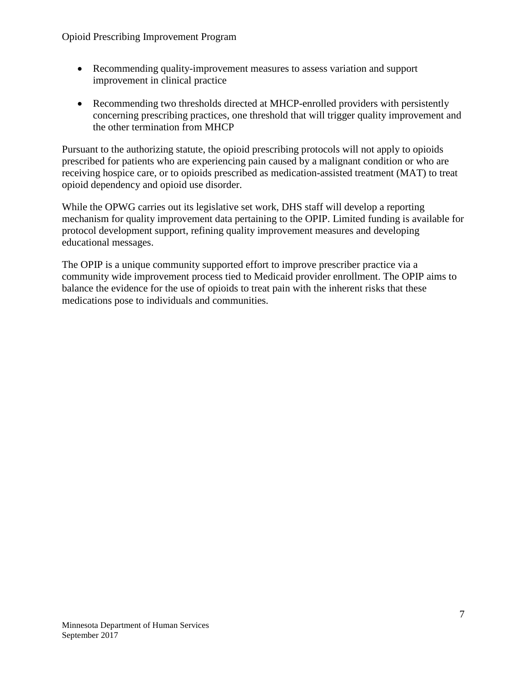- Recommending quality-improvement measures to assess variation and support improvement in clinical practice
- Recommending two thresholds directed at MHCP-enrolled providers with persistently concerning prescribing practices, one threshold that will trigger quality improvement and the other termination from MHCP

Pursuant to the authorizing statute, the opioid prescribing protocols will not apply to opioids prescribed for patients who are experiencing pain caused by a malignant condition or who are receiving hospice care, or to opioids prescribed as medication-assisted treatment (MAT) to treat opioid dependency and opioid use disorder.

While the OPWG carries out its legislative set work, DHS staff will develop a reporting mechanism for quality improvement data pertaining to the OPIP. Limited funding is available for protocol development support, refining quality improvement measures and developing educational messages.

The OPIP is a unique community supported effort to improve prescriber practice via a community wide improvement process tied to Medicaid provider enrollment. The OPIP aims to balance the evidence for the use of opioids to treat pain with the inherent risks that these medications pose to individuals and communities.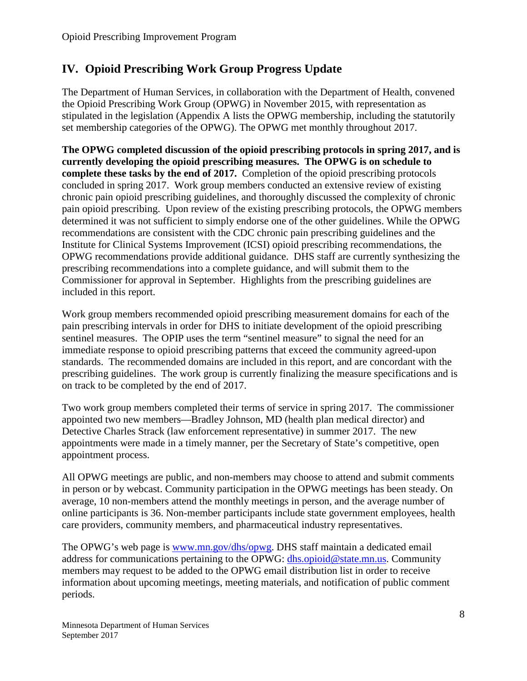# <span id="page-7-0"></span>**IV. Opioid Prescribing Work Group Progress Update**

The Department of Human Services, in collaboration with the Department of Health, convened the Opioid Prescribing Work Group (OPWG) in November 2015, with representation as stipulated in the legislation (Appendix A lists the OPWG membership, including the statutorily set membership categories of the OPWG). The OPWG met monthly throughout 2017.

**The OPWG completed discussion of the opioid prescribing protocols in spring 2017, and is currently developing the opioid prescribing measures. The OPWG is on schedule to complete these tasks by the end of 2017.** Completion of the opioid prescribing protocols concluded in spring 2017. Work group members conducted an extensive review of existing chronic pain opioid prescribing guidelines, and thoroughly discussed the complexity of chronic pain opioid prescribing. Upon review of the existing prescribing protocols, the OPWG members determined it was not sufficient to simply endorse one of the other guidelines. While the OPWG recommendations are consistent with the CDC chronic pain prescribing guidelines and the Institute for Clinical Systems Improvement (ICSI) opioid prescribing recommendations, the OPWG recommendations provide additional guidance. DHS staff are currently synthesizing the prescribing recommendations into a complete guidance, and will submit them to the Commissioner for approval in September. Highlights from the prescribing guidelines are included in this report.

Work group members recommended opioid prescribing measurement domains for each of the pain prescribing intervals in order for DHS to initiate development of the opioid prescribing sentinel measures. The OPIP uses the term "sentinel measure" to signal the need for an immediate response to opioid prescribing patterns that exceed the community agreed-upon standards. The recommended domains are included in this report, and are concordant with the prescribing guidelines. The work group is currently finalizing the measure specifications and is on track to be completed by the end of 2017.

Two work group members completed their terms of service in spring 2017. The commissioner appointed two new members—Bradley Johnson, MD (health plan medical director) and Detective Charles Strack (law enforcement representative) in summer 2017. The new appointments were made in a timely manner, per the Secretary of State's competitive, open appointment process.

All OPWG meetings are public, and non-members may choose to attend and submit comments in person or by webcast. Community participation in the OPWG meetings has been steady. On average, 10 non-members attend the monthly meetings in person, and the average number of online participants is 36. Non-member participants include state government employees, health care providers, community members, and pharmaceutical industry representatives.

The OPWG's web page is [www.mn.gov/dhs/opwg.](http://www.mn.gov/dhs/opwg) DHS staff maintain a dedicated email address for communications pertaining to the OPWG: [dhs.opioid@state.mn.us.](mailto:dhs.opioid@state.mn.us) Community members may request to be added to the OPWG email distribution list in order to receive information about upcoming meetings, meeting materials, and notification of public comment periods.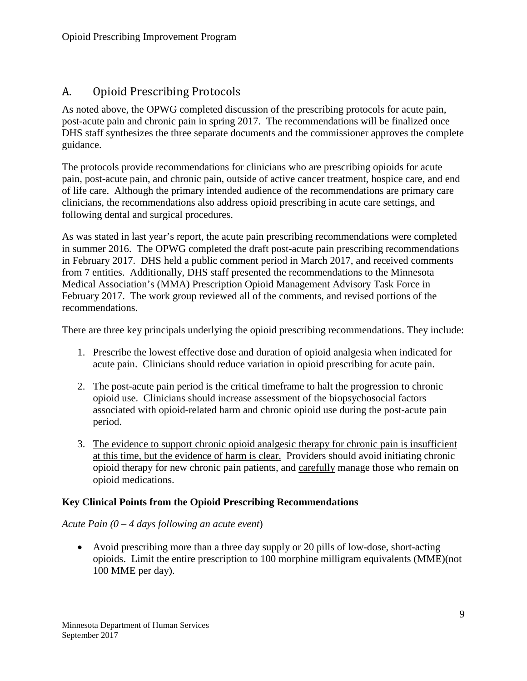# <span id="page-8-0"></span>A. Opioid Prescribing Protocols

As noted above, the OPWG completed discussion of the prescribing protocols for acute pain, post-acute pain and chronic pain in spring 2017. The recommendations will be finalized once DHS staff synthesizes the three separate documents and the commissioner approves the complete guidance.

The protocols provide recommendations for clinicians who are prescribing opioids for acute pain, post-acute pain, and chronic pain, outside of active cancer treatment, hospice care, and end of life care. Although the primary intended audience of the recommendations are primary care clinicians, the recommendations also address opioid prescribing in acute care settings, and following dental and surgical procedures.

As was stated in last year's report, the acute pain prescribing recommendations were completed in summer 2016. The OPWG completed the draft post-acute pain prescribing recommendations in February 2017. DHS held a public comment period in March 2017, and received comments from 7 entities. Additionally, DHS staff presented the recommendations to the Minnesota Medical Association's (MMA) Prescription Opioid Management Advisory Task Force in February 2017. The work group reviewed all of the comments, and revised portions of the recommendations.

There are three key principals underlying the opioid prescribing recommendations. They include:

- 1. Prescribe the lowest effective dose and duration of opioid analgesia when indicated for acute pain. Clinicians should reduce variation in opioid prescribing for acute pain.
- 2. The post-acute pain period is the critical timeframe to halt the progression to chronic opioid use. Clinicians should increase assessment of the biopsychosocial factors associated with opioid-related harm and chronic opioid use during the post-acute pain period.
- 3. The evidence to support chronic opioid analgesic therapy for chronic pain is insufficient at this time, but the evidence of harm is clear. Providers should avoid initiating chronic opioid therapy for new chronic pain patients, and carefully manage those who remain on opioid medications.

#### **Key Clinical Points from the Opioid Prescribing Recommendations**

#### *Acute Pain (0 – 4 days following an acute event*)

• Avoid prescribing more than a three day supply or 20 pills of low-dose, short-acting opioids. Limit the entire prescription to 100 morphine milligram equivalents (MME)(not 100 MME per day).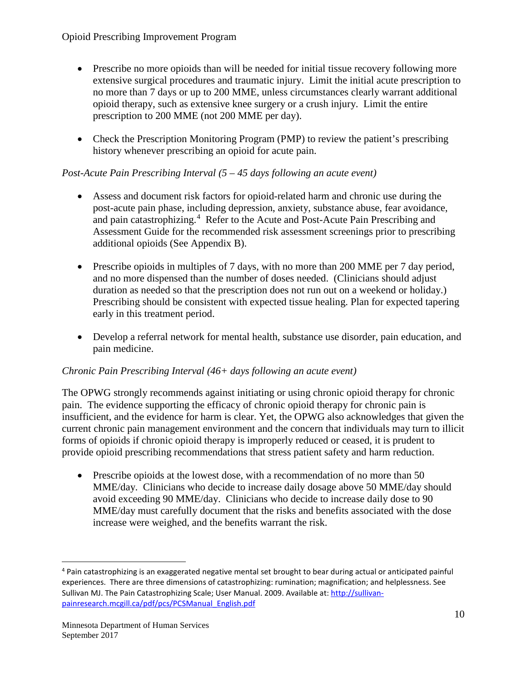- Prescribe no more opioids than will be needed for initial tissue recovery following more extensive surgical procedures and traumatic injury. Limit the initial acute prescription to no more than 7 days or up to 200 MME, unless circumstances clearly warrant additional opioid therapy, such as extensive knee surgery or a crush injury. Limit the entire prescription to 200 MME (not 200 MME per day).
- Check the Prescription Monitoring Program (PMP) to review the patient's prescribing history whenever prescribing an opioid for acute pain.

## *Post-Acute Pain Prescribing Interval (5 – 45 days following an acute event)*

- Assess and document risk factors for opioid-related harm and chronic use during the post-acute pain phase, including depression, anxiety, substance abuse, fear avoidance, and pain catastrophizing.<sup>[4](#page-9-0)</sup> Refer to the Acute and Post-Acute Pain Prescribing and Assessment Guide for the recommended risk assessment screenings prior to prescribing additional opioids (See Appendix B).
- Prescribe opioids in multiples of 7 days, with no more than 200 MME per 7 day period, and no more dispensed than the number of doses needed. (Clinicians should adjust duration as needed so that the prescription does not run out on a weekend or holiday.) Prescribing should be consistent with expected tissue healing. Plan for expected tapering early in this treatment period.
- Develop a referral network for mental health, substance use disorder, pain education, and pain medicine.

#### *Chronic Pain Prescribing Interval (46+ days following an acute event)*

The OPWG strongly recommends against initiating or using chronic opioid therapy for chronic pain. The evidence supporting the efficacy of chronic opioid therapy for chronic pain is insufficient, and the evidence for harm is clear. Yet, the OPWG also acknowledges that given the current chronic pain management environment and the concern that individuals may turn to illicit forms of opioids if chronic opioid therapy is improperly reduced or ceased, it is prudent to provide opioid prescribing recommendations that stress patient safety and harm reduction.

• Prescribe opioids at the lowest dose, with a recommendation of no more than 50 MME/day. Clinicians who decide to increase daily dosage above 50 MME/day should avoid exceeding 90 MME/day. Clinicians who decide to increase daily dose to 90 MME/day must carefully document that the risks and benefits associated with the dose increase were weighed, and the benefits warrant the risk.

<span id="page-9-0"></span> <sup>4</sup> Pain catastrophizing is an exaggerated negative mental set brought to bear during actual or anticipated painful experiences. There are three dimensions of catastrophizing: rumination; magnification; and helplessness. See Sullivan MJ. The Pain Catastrophizing Scale; User Manual. 2009. Available at[: http://sullivan](http://sullivan-painresearch.mcgill.ca/pdf/pcs/PCSManual_English.pdf)[painresearch.mcgill.ca/pdf/pcs/PCSManual\\_English.pdf](http://sullivan-painresearch.mcgill.ca/pdf/pcs/PCSManual_English.pdf)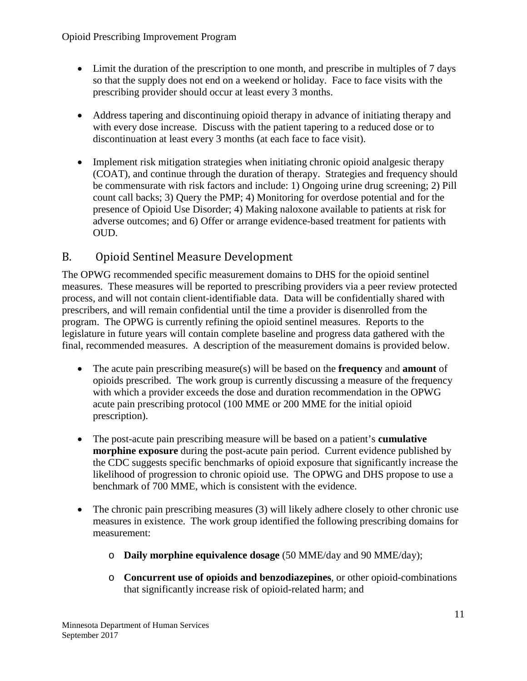- Limit the duration of the prescription to one month, and prescribe in multiples of 7 days so that the supply does not end on a weekend or holiday. Face to face visits with the prescribing provider should occur at least every 3 months.
- Address tapering and discontinuing opioid therapy in advance of initiating therapy and with every dose increase. Discuss with the patient tapering to a reduced dose or to discontinuation at least every 3 months (at each face to face visit).
- Implement risk mitigation strategies when initiating chronic opioid analgesic therapy (COAT), and continue through the duration of therapy. Strategies and frequency should be commensurate with risk factors and include: 1) Ongoing urine drug screening; 2) Pill count call backs; 3) Query the PMP; 4) Monitoring for overdose potential and for the presence of Opioid Use Disorder; 4) Making naloxone available to patients at risk for adverse outcomes; and 6) Offer or arrange evidence-based treatment for patients with OUD.

# <span id="page-10-0"></span>B. Opioid Sentinel Measure Development

The OPWG recommended specific measurement domains to DHS for the opioid sentinel measures. These measures will be reported to prescribing providers via a peer review protected process, and will not contain client-identifiable data. Data will be confidentially shared with prescribers, and will remain confidential until the time a provider is disenrolled from the program. The OPWG is currently refining the opioid sentinel measures. Reports to the legislature in future years will contain complete baseline and progress data gathered with the final, recommended measures. A description of the measurement domains is provided below.

- The acute pain prescribing measure(s) will be based on the **frequency** and **amount** of opioids prescribed. The work group is currently discussing a measure of the frequency with which a provider exceeds the dose and duration recommendation in the OPWG acute pain prescribing protocol (100 MME or 200 MME for the initial opioid prescription).
- The post-acute pain prescribing measure will be based on a patient's **cumulative morphine exposure** during the post-acute pain period. Current evidence published by the CDC suggests specific benchmarks of opioid exposure that significantly increase the likelihood of progression to chronic opioid use. The OPWG and DHS propose to use a benchmark of 700 MME, which is consistent with the evidence.
- The chronic pain prescribing measures (3) will likely adhere closely to other chronic use measures in existence. The work group identified the following prescribing domains for measurement:
	- o **Daily morphine equivalence dosage** (50 MME/day and 90 MME/day);
	- o **Concurrent use of opioids and benzodiazepines**, or other opioid-combinations that significantly increase risk of opioid-related harm; and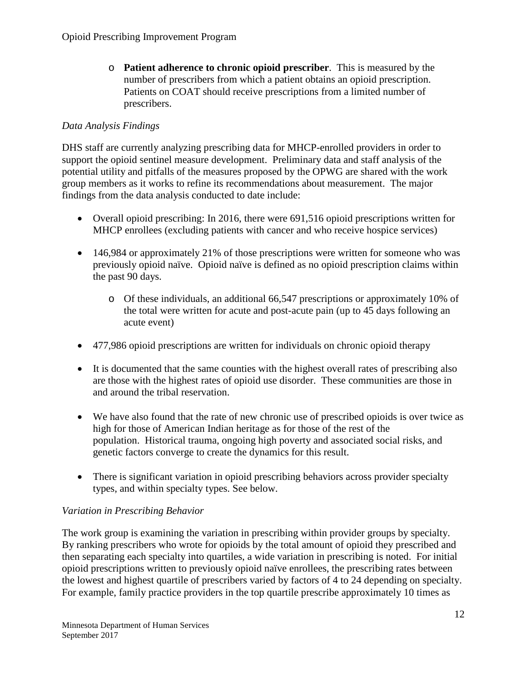o **Patient adherence to chronic opioid prescriber**. This is measured by the number of prescribers from which a patient obtains an opioid prescription. Patients on COAT should receive prescriptions from a limited number of prescribers.

## *Data Analysis Findings*

DHS staff are currently analyzing prescribing data for MHCP-enrolled providers in order to support the opioid sentinel measure development. Preliminary data and staff analysis of the potential utility and pitfalls of the measures proposed by the OPWG are shared with the work group members as it works to refine its recommendations about measurement. The major findings from the data analysis conducted to date include:

- Overall opioid prescribing: In 2016, there were 691,516 opioid prescriptions written for MHCP enrollees (excluding patients with cancer and who receive hospice services)
- 146,984 or approximately 21% of those prescriptions were written for someone who was previously opioid naïve. Opioid naïve is defined as no opioid prescription claims within the past 90 days.
	- o Of these individuals, an additional 66,547 prescriptions or approximately 10% of the total were written for acute and post-acute pain (up to 45 days following an acute event)
- 477,986 opioid prescriptions are written for individuals on chronic opioid therapy
- It is documented that the same counties with the highest overall rates of prescribing also are those with the highest rates of opioid use disorder. These communities are those in and around the tribal reservation.
- We have also found that the rate of new chronic use of prescribed opioids is over twice as high for those of American Indian heritage as for those of the rest of the population. Historical trauma, ongoing high poverty and associated social risks, and genetic factors converge to create the dynamics for this result.
- There is significant variation in opioid prescribing behaviors across provider specialty types, and within specialty types. See below.

## *Variation in Prescribing Behavior*

The work group is examining the variation in prescribing within provider groups by specialty. By ranking prescribers who wrote for opioids by the total amount of opioid they prescribed and then separating each specialty into quartiles, a wide variation in prescribing is noted. For initial opioid prescriptions written to previously opioid naïve enrollees, the prescribing rates between the lowest and highest quartile of prescribers varied by factors of 4 to 24 depending on specialty. For example, family practice providers in the top quartile prescribe approximately 10 times as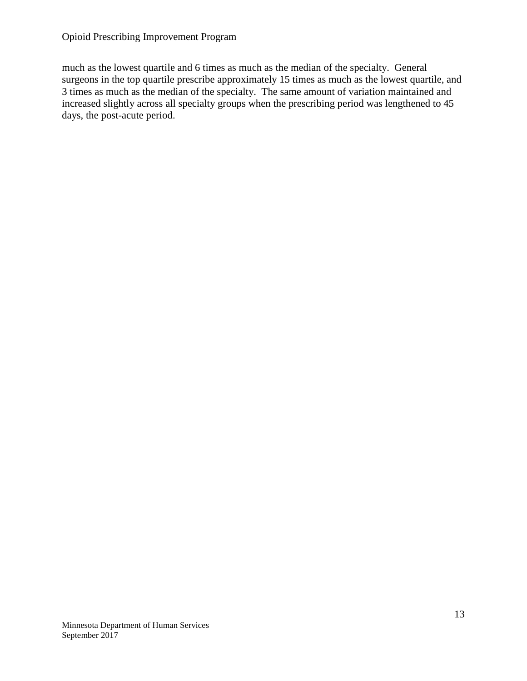#### Opioid Prescribing Improvement Program

much as the lowest quartile and 6 times as much as the median of the specialty. General surgeons in the top quartile prescribe approximately 15 times as much as the lowest quartile, and 3 times as much as the median of the specialty. The same amount of variation maintained and increased slightly across all specialty groups when the prescribing period was lengthened to 45 days, the post-acute period.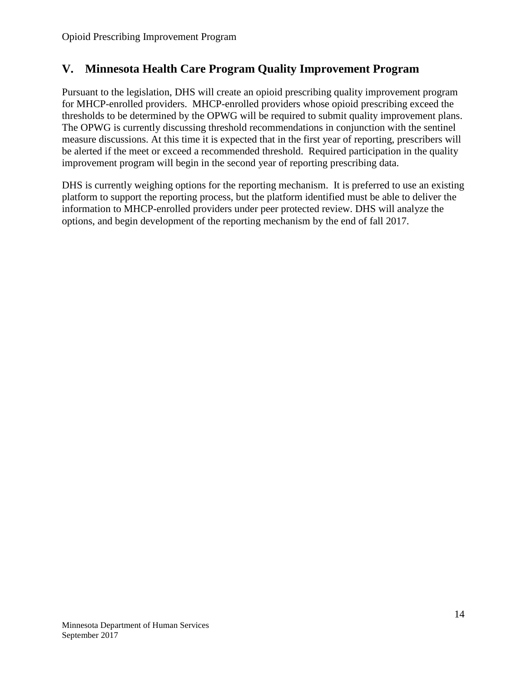## <span id="page-13-0"></span>**V. Minnesota Health Care Program Quality Improvement Program**

Pursuant to the legislation, DHS will create an opioid prescribing quality improvement program for MHCP-enrolled providers. MHCP-enrolled providers whose opioid prescribing exceed the thresholds to be determined by the OPWG will be required to submit quality improvement plans. The OPWG is currently discussing threshold recommendations in conjunction with the sentinel measure discussions. At this time it is expected that in the first year of reporting, prescribers will be alerted if the meet or exceed a recommended threshold. Required participation in the quality improvement program will begin in the second year of reporting prescribing data.

DHS is currently weighing options for the reporting mechanism. It is preferred to use an existing platform to support the reporting process, but the platform identified must be able to deliver the information to MHCP-enrolled providers under peer protected review. DHS will analyze the options, and begin development of the reporting mechanism by the end of fall 2017.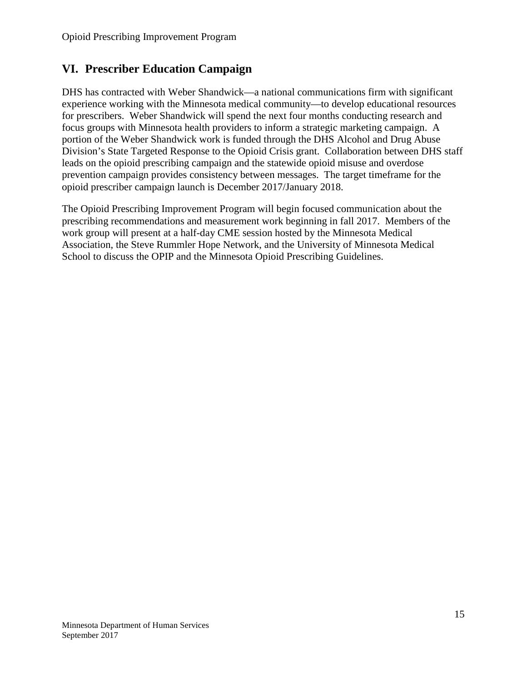# <span id="page-14-0"></span>**VI. Prescriber Education Campaign**

DHS has contracted with Weber Shandwick—a national communications firm with significant experience working with the Minnesota medical community—to develop educational resources for prescribers. Weber Shandwick will spend the next four months conducting research and focus groups with Minnesota health providers to inform a strategic marketing campaign. A portion of the Weber Shandwick work is funded through the DHS Alcohol and Drug Abuse Division's State Targeted Response to the Opioid Crisis grant. Collaboration between DHS staff leads on the opioid prescribing campaign and the statewide opioid misuse and overdose prevention campaign provides consistency between messages. The target timeframe for the opioid prescriber campaign launch is December 2017/January 2018.

The Opioid Prescribing Improvement Program will begin focused communication about the prescribing recommendations and measurement work beginning in fall 2017. Members of the work group will present at a half-day CME session hosted by the Minnesota Medical Association, the Steve Rummler Hope Network, and the University of Minnesota Medical School to discuss the OPIP and the Minnesota Opioid Prescribing Guidelines.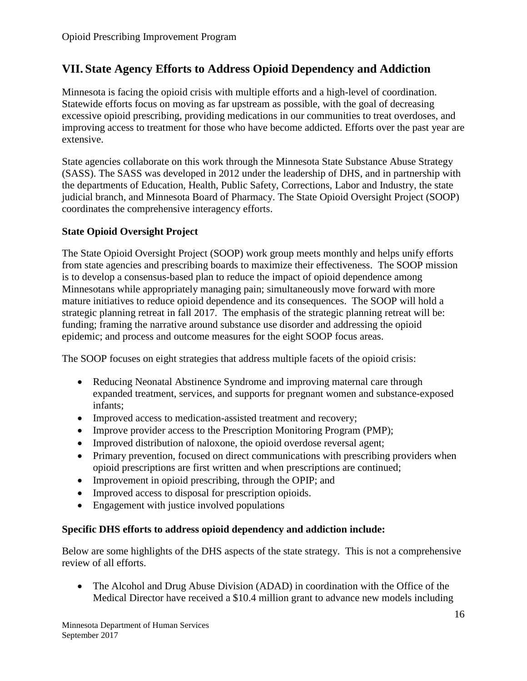## <span id="page-15-0"></span>**VII. State Agency Efforts to Address Opioid Dependency and Addiction**

Minnesota is facing the opioid crisis with multiple efforts and a high-level of coordination. Statewide efforts focus on moving as far upstream as possible, with the goal of decreasing excessive opioid prescribing, providing medications in our communities to treat overdoses, and improving access to treatment for those who have become addicted. Efforts over the past year are extensive.

State agencies collaborate on this work through the Minnesota State Substance Abuse Strategy (SASS). The SASS was developed in 2012 under the leadership of DHS, and in partnership with the departments of Education, Health, Public Safety, Corrections, Labor and Industry, the state judicial branch, and Minnesota Board of Pharmacy. The State Opioid Oversight Project (SOOP) coordinates the comprehensive interagency efforts.

#### **State Opioid Oversight Project**

The State Opioid Oversight Project (SOOP) work group meets monthly and helps unify efforts from state agencies and prescribing boards to maximize their effectiveness. The SOOP mission is to develop a consensus-based plan to reduce the impact of opioid dependence among Minnesotans while appropriately managing pain; simultaneously move forward with more mature initiatives to reduce opioid dependence and its consequences. The SOOP will hold a strategic planning retreat in fall 2017. The emphasis of the strategic planning retreat will be: funding; framing the narrative around substance use disorder and addressing the opioid epidemic; and process and outcome measures for the eight SOOP focus areas.

The SOOP focuses on eight strategies that address multiple facets of the opioid crisis:

- Reducing Neonatal Abstinence Syndrome and improving maternal care through expanded treatment, services, and supports for pregnant women and substance-exposed infants;
- Improved access to medication-assisted treatment and recovery;
- Improve provider access to the Prescription Monitoring Program (PMP);
- Improved distribution of naloxone, the opioid overdose reversal agent;
- Primary prevention, focused on direct communications with prescribing providers when opioid prescriptions are first written and when prescriptions are continued;
- Improvement in opioid prescribing, through the OPIP; and
- Improved access to disposal for prescription opioids.
- Engagement with justice involved populations

#### **Specific DHS efforts to address opioid dependency and addiction include:**

Below are some highlights of the DHS aspects of the state strategy. This is not a comprehensive review of all efforts.

• The Alcohol and Drug Abuse Division (ADAD) in coordination with the Office of the Medical Director have received a \$10.4 million grant to advance new models including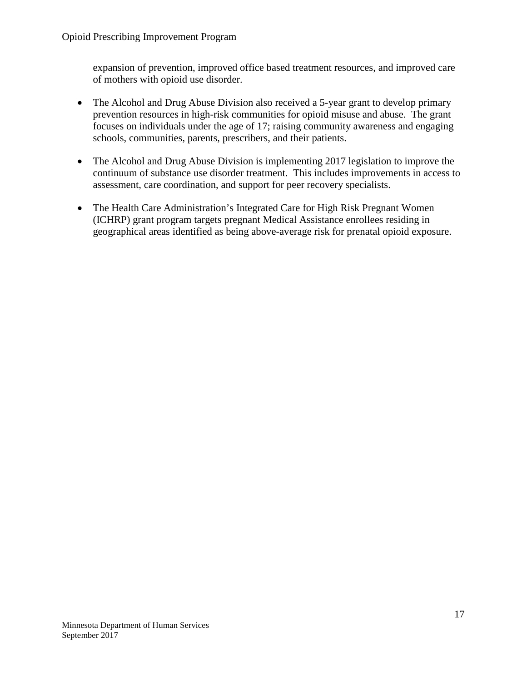expansion of prevention, improved office based treatment resources, and improved care of mothers with opioid use disorder.

- The Alcohol and Drug Abuse Division also received a 5-year grant to develop primary prevention resources in high-risk communities for opioid misuse and abuse. The grant focuses on individuals under the age of 17; raising community awareness and engaging schools, communities, parents, prescribers, and their patients.
- The Alcohol and Drug Abuse Division is implementing 2017 legislation to improve the continuum of substance use disorder treatment. This includes improvements in access to assessment, care coordination, and support for peer recovery specialists.
- The Health Care Administration's Integrated Care for High Risk Pregnant Women (ICHRP) grant program targets pregnant Medical Assistance enrollees residing in geographical areas identified as being above-average risk for prenatal opioid exposure.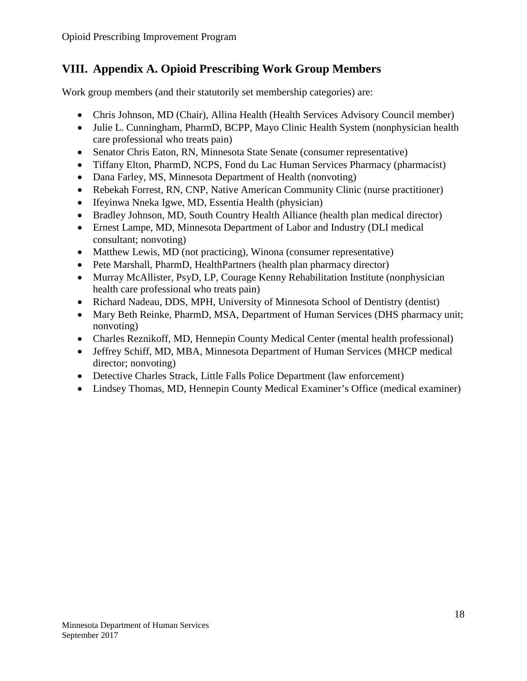# <span id="page-17-0"></span>**VIII. Appendix A. Opioid Prescribing Work Group Members**

Work group members (and their statutorily set membership categories) are:

- Chris Johnson, MD (Chair), Allina Health (Health Services Advisory Council member)
- Julie L. Cunningham, PharmD, BCPP, Mayo Clinic Health System (nonphysician health care professional who treats pain)
- Senator Chris Eaton, RN, Minnesota State Senate (consumer representative)
- Tiffany Elton, PharmD, NCPS, Fond du Lac Human Services Pharmacy (pharmacist)
- Dana Farley, MS, Minnesota Department of Health (nonvoting)
- Rebekah Forrest, RN, CNP, Native American Community Clinic (nurse practitioner)
- Ifeyinwa Nneka Igwe, MD, Essentia Health (physician)
- Bradley Johnson, MD, South Country Health Alliance (health plan medical director)
- Ernest Lampe, MD, Minnesota Department of Labor and Industry (DLI medical consultant; nonvoting)
- Matthew Lewis, MD (not practicing), Winona (consumer representative)
- Pete Marshall, PharmD, HealthPartners (health plan pharmacy director)
- Murray McAllister, PsyD, LP, Courage Kenny Rehabilitation Institute (nonphysician health care professional who treats pain)
- Richard Nadeau, DDS, MPH, University of Minnesota School of Dentistry (dentist)
- Mary Beth Reinke, PharmD, MSA, Department of Human Services (DHS pharmacy unit; nonvoting)
- Charles Reznikoff, MD, Hennepin County Medical Center (mental health professional)
- Jeffrey Schiff, MD, MBA, Minnesota Department of Human Services (MHCP medical director; nonvoting)
- Detective Charles Strack, Little Falls Police Department (law enforcement)
- Lindsey Thomas, MD, Hennepin County Medical Examiner's Office (medical examiner)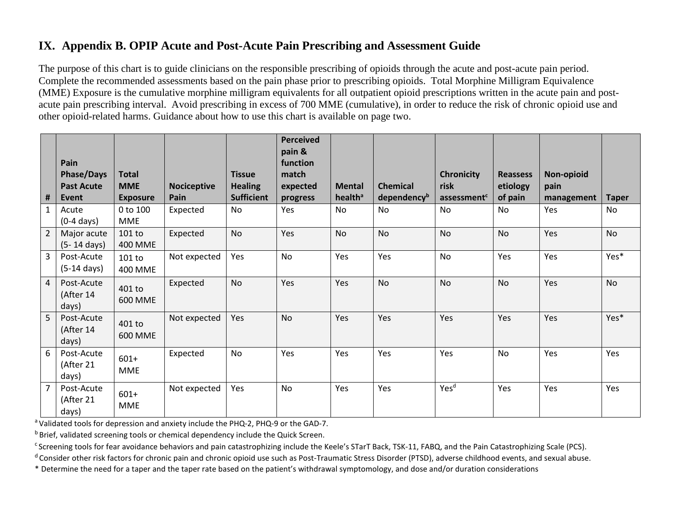# **IX. Appendix B. OPIP Acute and Post-Acute Pain Prescribing and Assessment Guide**

The purpose of this chart is to guide clinicians on the responsible prescribing of opioids through the acute and post-acute pain period. Complete the recommended assessments based on the pain phase prior to prescribing opioids. Total Morphine Milligram Equivalence (MME) Exposure is the cumulative morphine milligram equivalents for all outpatient opioid prescriptions written in the acute pain and postacute pain prescribing interval. Avoid prescribing in excess of 700 MME (cumulative), in order to reduce the risk of chronic opioid use and other opioid-related harms. Guidance about how to use this chart is available on page two.

<span id="page-18-0"></span>

| #              | Pain<br><b>Phase/Days</b><br><b>Past Acute</b><br>Event | <b>Total</b><br><b>MME</b><br><b>Exposure</b> | <b>Nociceptive</b><br>Pain | <b>Tissue</b><br><b>Healing</b><br><b>Sufficient</b> | <b>Perceived</b><br>pain &<br>function<br>match<br>expected<br>progress | <b>Mental</b><br>health <sup>a</sup> | <b>Chemical</b><br>dependency <sup>b</sup> | <b>Chronicity</b><br>risk<br>assessment <sup>c</sup> | <b>Reassess</b><br>etiology<br>of pain | Non-opioid<br>pain<br>management | <b>Taper</b> |
|----------------|---------------------------------------------------------|-----------------------------------------------|----------------------------|------------------------------------------------------|-------------------------------------------------------------------------|--------------------------------------|--------------------------------------------|------------------------------------------------------|----------------------------------------|----------------------------------|--------------|
| $\mathbf{1}$   | Acute<br>$(0-4 \text{ days})$                           | $0$ to $100$<br>MME                           | Expected                   | No                                                   | Yes                                                                     | N <sub>o</sub>                       | No                                         | <b>No</b>                                            | No                                     | Yes                              | No           |
| $\overline{2}$ | Major acute<br>$(5-14 \text{ days})$                    | 101 to<br>400 MME                             | Expected                   | <b>No</b>                                            | Yes                                                                     | <b>No</b>                            | <b>No</b>                                  | <b>No</b>                                            | <b>No</b>                              | Yes                              | <b>No</b>    |
| $\mathbf{3}$   | Post-Acute<br>$(5-14 \text{ days})$                     | 101 to<br>400 MME                             | Not expected               | Yes                                                  | No                                                                      | Yes                                  | Yes                                        | No                                                   | Yes                                    | Yes                              | Yes*         |
| $\overline{4}$ | Post-Acute<br>(After 14<br>days)                        | 401 to<br>600 MME                             | Expected                   | <b>No</b>                                            | Yes                                                                     | Yes                                  | <b>No</b>                                  | <b>No</b>                                            | <b>No</b>                              | Yes                              | <b>No</b>    |
| 5              | Post-Acute<br>(After 14<br>days)                        | 401 to<br>600 MME                             | Not expected               | Yes                                                  | <b>No</b>                                                               | Yes                                  | Yes                                        | Yes                                                  | Yes                                    | Yes                              | Yes*         |
| 6              | Post-Acute<br>(After 21<br>days)                        | $601+$<br><b>MME</b>                          | Expected                   | No                                                   | Yes                                                                     | Yes                                  | Yes                                        | Yes                                                  | No                                     | Yes                              | Yes          |
| $\overline{7}$ | Post-Acute<br>(After 21<br>days)                        | $601+$<br><b>MME</b>                          | Not expected               | Yes                                                  | <b>No</b>                                                               | Yes                                  | Yes                                        | Yes <sup>d</sup>                                     | Yes                                    | Yes                              | Yes          |

<sup>a</sup> Validated tools for depression and anxiety include the PHQ-2, PHQ-9 or the GAD-7.<br><sup>b</sup> Brief, validated screening tools or chemical dependency include the Quick Screen.

<sup>c</sup> Screening tools for fear avoidance behaviors and pain catastrophizing include the Keele's STarT Back, TSK-11, FABQ, and the Pain Catastrophizing Scale (PCS).

<sup>d</sup> Consider other risk factors for chronic pain and chronic opioid use such as Post-Traumatic Stress Disorder (PTSD), adverse childhood events, and sexual abuse.

\* Determine the need for a taper and the taper rate based on the patient's withdrawal symptomology, and dose and/or duration considerations